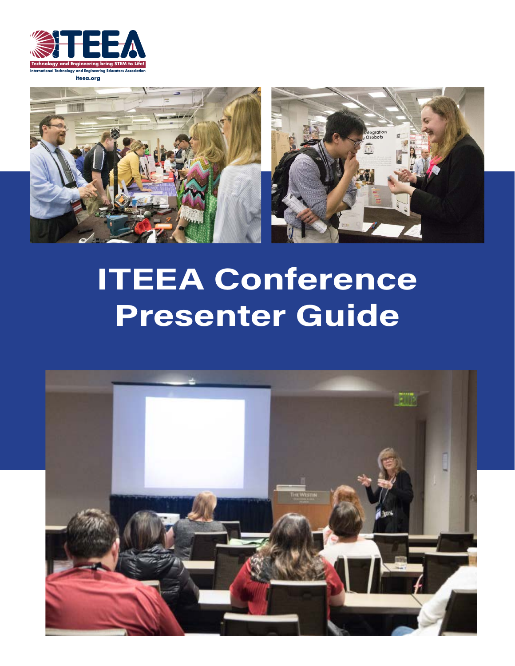

**iteea.org**



# **ITEEA Conference Presenter Guide**

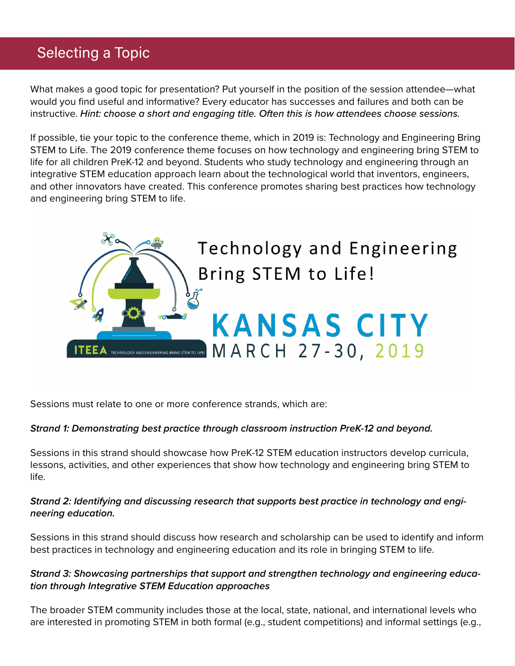# Selecting a Topic

What makes a good topic for presentation? Put yourself in the position of the session attendee—what would you find useful and informative? Every educator has successes and failures and both can be instructive. *Hint: choose a short and engaging title. Often this is how attendees choose sessions.*

If possible, tie your topic to the conference theme, which in 2019 is: Technology and Engineering Bring STEM to Life. The 2019 conference theme focuses on how technology and engineering bring STEM to life for all children PreK-12 and beyond. Students who study technology and engineering through an integrative STEM education approach learn about the technological world that inventors, engineers, and other innovators have created. This conference promotes sharing best practices how technology and engineering bring STEM to life.



Sessions must relate to one or more conference strands, which are:

#### *Strand 1: Demonstrating best practice through classroom instruction PreK-12 and beyond.*

Sessions in this strand should showcase how PreK-12 STEM education instructors develop curricula, lessons, activities, and other experiences that show how technology and engineering bring STEM to life.

## *Strand 2: Identifying and discussing research that supports best practice in technology and engineering education.*

Sessions in this strand should discuss how research and scholarship can be used to identify and inform best practices in technology and engineering education and its role in bringing STEM to life.

## *Strand 3: Showcasing partnerships that support and strengthen technology and engineering education through Integrative STEM Education approaches*

The broader STEM community includes those at the local, state, national, and international levels who are interested in promoting STEM in both formal (e.g., student competitions) and informal settings (e.g.,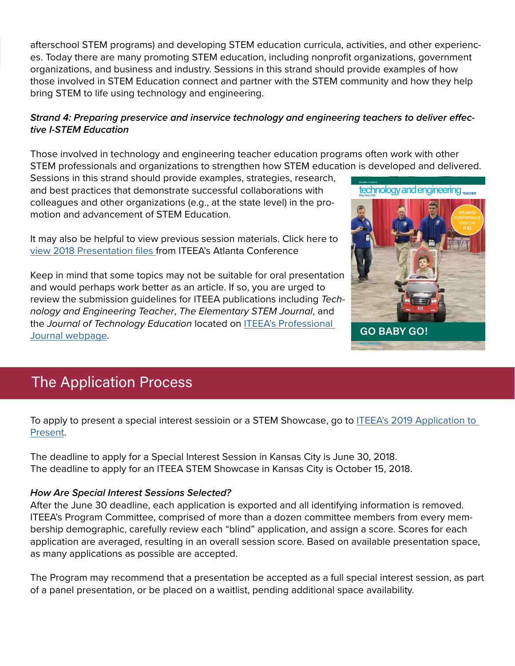afterschool STEM programs) and developing STEM education curricula, activities, and other experiences. Today there are many promoting STEM education, including nonprofit organizations, government organizations, and business and industry. Sessions in this strand should provide examples of how those involved in STEM Education connect and partner with the STEM community and how they help bring STEM to life using technology and engineering.

## *Strand 4: Preparing preservice and inservice technology and engineering teachers to deliver effective I-STEM Education*

Those involved in technology and engineering teacher education programs often work with other STEM professionals and organizations to strengthen how STEM education is developed and delivered.

Sessions in this strand should provide examples, strategies, research, and best practices that demonstrate successful collaborations with colleagues and other organizations (e.g., at the state level) in the promotion and advancement of STEM Education.

It may also be helpful to view previous session materials. Click here to v[iew 2018 Presentation files](https://www.iteea.org/Activities/Conference/ITEEA_Conference_2018/Conference_Presentations_2018.aspx#tabs) from ITEEA's Atlanta Conference

Keep in mind that some topics may not be suitable for oral presentation and would perhaps work better as an article. If so, you are urged to review the submission guidelines for ITEEA publications including *Technology and Engineering Teacher*, *The Elementary STEM Journal*, and the *Journal of Technology Education* located on [ITEEA's Professional](https://www.iteea.org/Publications/Journals.aspx)  [Journal webpage](https://www.iteea.org/Publications/Journals.aspx).



# The Application Process

To apply to present a special interest sessioin or a STEM Showcase, go to ITEEA's 2019 Application to [Present](https://www.iteea.org/132514.aspx).

The deadline to apply for a Special Interest Session in Kansas City is June 30, 2018. The deadline to apply for an ITEEA STEM Showcase in Kansas City is October 15, 2018.

## *How Are Special Interest Sessions Selected?*

After the June 30 deadline, each application is exported and all identifying information is removed. ITEEA's Program Committee, comprised of more than a dozen committee members from every membership demographic, carefully review each "blind" application, and assign a score. Scores for each application are averaged, resulting in an overall session score. Based on available presentation space, as many applications as possible are accepted.

The Program may recommend that a presentation be accepted as a full special interest session, as part of a panel presentation, or be placed on a waitlist, pending additional space availability.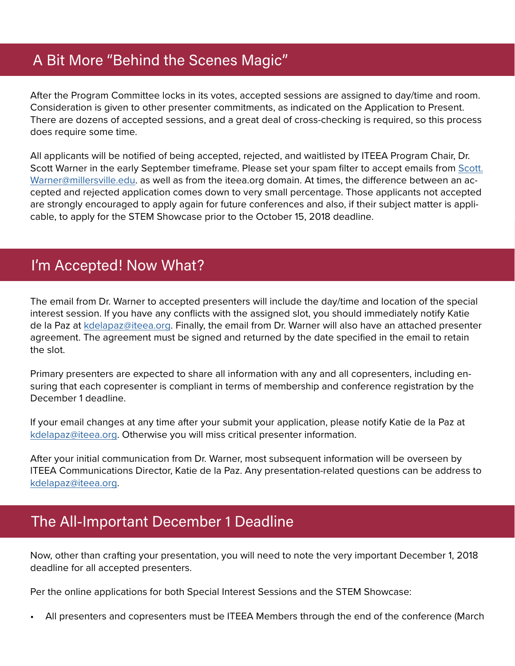## A Bit More "Behind the Scenes Magic"

After the Program Committee locks in its votes, accepted sessions are assigned to day/time and room. Consideration is given to other presenter commitments, as indicated on the Application to Present. There are dozens of accepted sessions, and a great deal of cross-checking is required, so this process does require some time.

All applicants will be notified of being accepted, rejected, and waitlisted by ITEEA Program Chair, Dr. Scott Warner in the early September timeframe. Please set your spam filter to accept emails from [Scott.](mailto:Scott.Warner%40millersville.edu?subject=) [Warner@millersville.edu.](mailto:Scott.Warner%40millersville.edu?subject=) as well as from the iteea.org domain. At times, the difference between an accepted and rejected application comes down to very small percentage. Those applicants not accepted are strongly encouraged to apply again for future conferences and also, if their subject matter is applicable, to apply for the STEM Showcase prior to the October 15, 2018 deadline.

## I'm Accepted! Now What?

The email from Dr. Warner to accepted presenters will include the day/time and location of the special interest session. If you have any conflicts with the assigned slot, you should immediately notify Katie de la Paz at [kdelapaz@iteea.org](mailto:kdelapaz%40iteea.org?subject=). Finally, the email from Dr. Warner will also have an attached presenter agreement. The agreement must be signed and returned by the date specified in the email to retain the slot.

Primary presenters are expected to share all information with any and all copresenters, including ensuring that each copresenter is compliant in terms of membership and conference registration by the December 1 deadline.

If your email changes at any time after your submit your application, please notify Katie de la Paz at [kdelapaz@iteea.org](mailto:kdelapaz%40iteea.org?subject=). Otherwise you will miss critical presenter information.

After your initial communication from Dr. Warner, most subsequent information will be overseen by ITEEA Communications Director, Katie de la Paz. Any presentation-related questions can be address to [kdelapaz@iteea.org](mailto:kdelapaz%40iteea.org?subject=).

## The All-Important December 1 Deadline

Now, other than crafting your presentation, you will need to note the very important December 1, 2018 deadline for all accepted presenters.

Per the online applications for both Special Interest Sessions and the STEM Showcase:

• All presenters and copresenters must be ITEEA Members through the end of the conference (March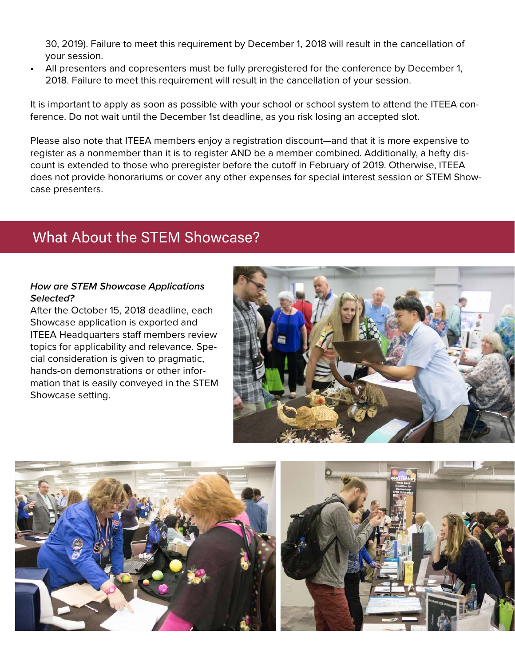30, 2019). Failure to meet this requirement by December 1, 2018 will result in the cancellation of your session.

• All presenters and copresenters must be fully preregistered for the conference by December 1, 2018. Failure to meet this requirement will result in the cancellation of your session.

It is important to apply as soon as possible with your school or school system to attend the ITEEA conference. Do not wait until the December 1st deadline, as you risk losing an accepted slot.

Please also note that ITEEA members enjoy a registration discount—and that it is more expensive to register as a nonmember than it is to register AND be a member combined. Additionally, a hefty discount is extended to those who preregister before the cutoff in February of 2019. Otherwise, ITEEA does not provide honorariums or cover any other expenses for special interest session or STEM Showcase presenters.

# What About the STEM Showcase?

#### *How are STEM Showcase Applications Selected?*

After the October 15, 2018 deadline, each Showcase application is exported and ITEEA Headquarters staff members review topics for applicability and relevance. Special consideration is given to pragmatic, hands-on demonstrations or other information that is easily conveyed in the STEM Showcase setting.





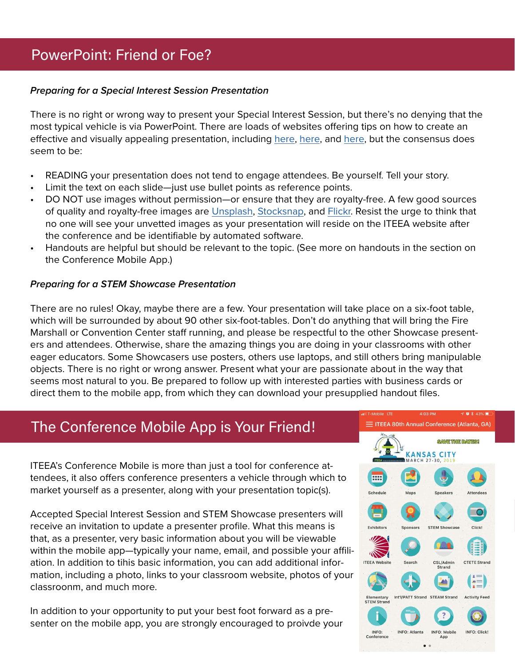## *Preparing for a Special Interest Session Presentation*

There is no right or wrong way to present your Special Interest Session, but there's no denying that the most typical vehicle is via PowerPoint. There are loads of websites offering tips on how to create an effective and visually appealing presentation, including [here,](http://www.garrreynolds.com/preso-tips/design/) [here](https://www.lifehack.org/articles/featured/10-tips-for-more-effective-powerpoint-presentations.html), and [here](https://support.office.com/en-us/article/Tips-for-creating-and-delivering-an-effective-presentation-f43156b0-20d2-4c51-8345-0c337cefb88b), but the consensus does seem to be:

- READING your presentation does not tend to engage attendees. Be yourself. Tell your story.
- Limit the text on each slide—just use bullet points as reference points.
- DO NOT use images without permission—or ensure that they are royalty-free. A few good sources of quality and royalty-free images are [Unsplash,](https://unsplash.com/) [Stocksnap](https://stocksnap.io/), and [Flickr.](https://www.flickr.com/?utm_campaign=flickr-launch&utm_source=SmugMug&utm_medium=referral&utm_content=ms-footer-txt) Resist the urge to think that no one will see your unvetted images as your presentation will reside on the ITEEA website after the conference and be identifiable by automated software.
- Handouts are helpful but should be relevant to the topic. (See more on handouts in the section on the Conference Mobile App.)

#### *Preparing for a STEM Showcase Presentation*

There are no rules! Okay, maybe there are a few. Your presentation will take place on a six-foot table, which will be surrounded by about 90 other six-foot-tables. Don't do anything that will bring the Fire Marshall or Convention Center staff running, and please be respectful to the other Showcase presenters and attendees. Otherwise, share the amazing things you are doing in your classrooms with other eager educators. Some Showcasers use posters, others use laptops, and still others bring manipulable objects. There is no right or wrong answer. Present what your are passionate about in the way that seems most natural to you. Be prepared to follow up with interested parties with business cards or direct them to the mobile app, from which they can download your presupplied handout files.

## The Conference Mobile App is Your Friend!

ITEEA's Conference Mobile is more than just a tool for conference attendees, it also offers conference presenters a vehicle through which to market yourself as a presenter, along with your presentation topic(s).

Accepted Special Interest Session and STEM Showcase presenters will receive an invitation to update a presenter profile. What this means is that, as a presenter, very basic information about you will be viewable within the mobile app—typically your name, email, and possible your affiliation. In addition to tihis basic information, you can add additional information, including a photo, links to your classroom website, photos of your classroonm, and much more.

In addition to your opportunity to put your best foot forward as a presenter on the mobile app, you are strongly encouraged to proivde your